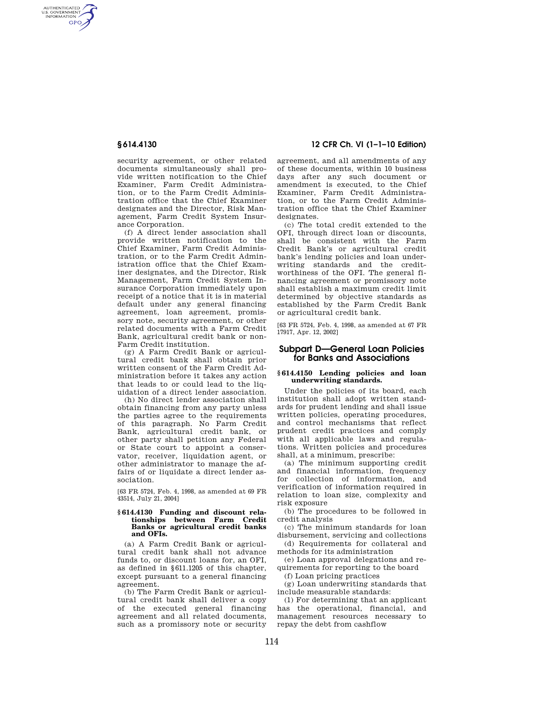AUTHENTICATED<br>U.S. GOVERNMENT<br>INFORMATION **GPO** 

> security agreement, or other related documents simultaneously shall provide written notification to the Chief Examiner, Farm Credit Administration, or to the Farm Credit Administration office that the Chief Examiner designates and the Director, Risk Management, Farm Credit System Insurance Corporation.

> (f) A direct lender association shall provide written notification to the Chief Examiner, Farm Credit Administration, or to the Farm Credit Administration office that the Chief Examiner designates, and the Director, Risk Management, Farm Credit System Insurance Corporation immediately upon receipt of a notice that it is in material default under any general financing agreement, loan agreement, promissory note, security agreement, or other related documents with a Farm Credit Bank, agricultural credit bank or non-Farm Credit institution.

> (g) A Farm Credit Bank or agricultural credit bank shall obtain prior written consent of the Farm Credit Administration before it takes any action that leads to or could lead to the liquidation of a direct lender association.

> (h) No direct lender association shall obtain financing from any party unless the parties agree to the requirements of this paragraph. No Farm Credit Bank, agricultural credit bank, or other party shall petition any Federal or State court to appoint a conservator, receiver, liquidation agent, or other administrator to manage the affairs of or liquidate a direct lender association.

> [63 FR 5724, Feb. 4, 1998, as amended at 69 FR 43514, July 21, 2004]

### **§ 614.4130 Funding and discount relationships between Farm Credit Banks or agricultural credit banks and OFIs.**

(a) A Farm Credit Bank or agricultural credit bank shall not advance funds to, or discount loans for, an OFI, as defined in §611.1205 of this chapter, except pursuant to a general financing agreement.

(b) The Farm Credit Bank or agricultural credit bank shall deliver a copy of the executed general financing agreement and all related documents, such as a promissory note or security

# **§ 614.4130 12 CFR Ch. VI (1–1–10 Edition)**

agreement, and all amendments of any of these documents, within 10 business days after any such document or amendment is executed, to the Chief Examiner, Farm Credit Administration, or to the Farm Credit Administration office that the Chief Examiner designates.

(c) The total credit extended to the OFI, through direct loan or discounts, shall be consistent with the Farm Credit Bank's or agricultural credit bank's lending policies and loan underwriting standards and the creditworthiness of the OFI. The general financing agreement or promissory note shall establish a maximum credit limit determined by objective standards as established by the Farm Credit Bank or agricultural credit bank.

[63 FR 5724, Feb. 4, 1998, as amended at 67 FR 17917, Apr. 12, 2002]

# **Subpart D—General Loan Policies for Banks and Associations**

# **§ 614.4150 Lending policies and loan underwriting standards.**

Under the policies of its board, each institution shall adopt written standards for prudent lending and shall issue written policies, operating procedures, and control mechanisms that reflect prudent credit practices and comply with all applicable laws and regulations. Written policies and procedures shall, at a minimum, prescribe:

(a) The minimum supporting credit and financial information, frequency for collection of information, and verification of information required in relation to loan size, complexity and risk exposure

(b) The procedures to be followed in credit analysis

(c) The minimum standards for loan disbursement, servicing and collections

(d) Requirements for collateral and methods for its administration

(e) Loan approval delegations and requirements for reporting to the board

(f) Loan pricing practices

(g) Loan underwriting standards that include measurable standards:

(1) For determining that an applicant has the operational, financial, and management resources necessary to repay the debt from cashflow